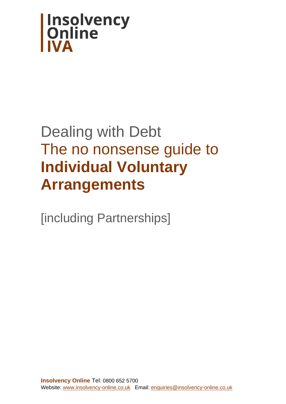

# Dealing with Debt The no nonsense guide to **Individual Voluntary Arrangements**

[including Partnerships]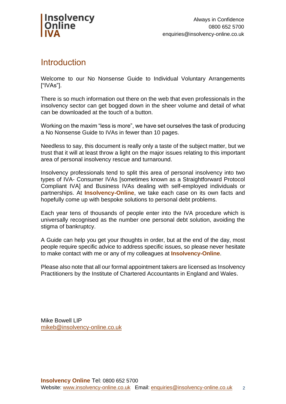

### **Introduction**

Welcome to our No Nonsense Guide to Individual Voluntary Arrangements ["IVAs"].

There is so much information out there on the web that even professionals in the insolvency sector can get bogged down in the sheer volume and detail of what can be downloaded at the touch of a button.

Working on the maxim "less is more", we have set ourselves the task of producing a No Nonsense Guide to IVAs in fewer than 10 pages.

Needless to say, this document is really only a taste of the subject matter, but we trust that it will at least throw a light on the major issues relating to this important area of personal insolvency rescue and turnaround.

Insolvency professionals tend to split this area of personal insolvency into two types of IVA- Consumer IVAs [sometimes known as a Straightforward Protocol Compliant IVA] and Business IVAs dealing with self-employed individuals or partnerships. At **Insolvency-Online**, we take each case on its own facts and hopefully come up with bespoke solutions to personal debt problems.

Each year tens of thousands of people enter into the IVA procedure which is universally recognised as the number one personal debt solution, avoiding the stigma of bankruptcy.

A Guide can help you get your thoughts in order, but at the end of the day, most people require specific advice to address specific issues, so please never hesitate to make contact with me or any of my colleagues at **Insolvency-Online**.

Please also note that all our formal appointment takers are licensed as Insolvency Practitioners by the Institute of Chartered Accountants in England and Wales.

Mike Bowell LIP [mikeb@insolvency-online.co.uk](mailto:mikeb@insolvency-online.co.uk)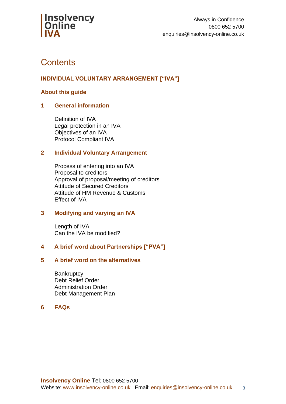

### **Contents**

### **INDIVIDUAL VOLUNTARY ARRANGEMENT ["IVA"]**

#### **About this guide**

#### **1 General information**

Definition of IVA Legal protection in an IVA Objectives of an IVA Protocol Compliant IVA

#### **2 Individual Voluntary Arrangement**

Process of entering into an IVA Proposal to creditors Approval of proposal/meeting of creditors Attitude of Secured Creditors Attitude of HM Revenue & Customs Effect of IVA

#### **3 Modifying and varying an IVA**

Length of IVA Can the IVA be modified?

#### **4 A brief word about Partnerships ["PVA"]**

#### **5 A brief word on the alternatives**

**Bankruptcy** Debt Relief Order Administration Order Debt Management Plan

#### **6 FAQs**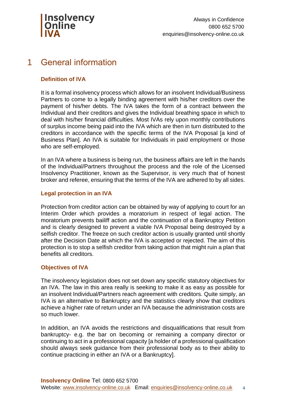

### 1 General information

#### **Definition of IVA**

It is a formal insolvency process which allows for an insolvent Individual/Business Partners to come to a legally binding agreement with his/her creditors over the payment of his/her debts. The IVA takes the form of a contract between the Individual and their creditors and gives the Individual breathing space in which to deal with his/her financial difficulties. Most IVAs rely upon monthly contributions of surplus income being paid into the IVA which are then in turn distributed to the creditors in accordance with the specific terms of the IVA Proposal [a kind of Business Plan]. An IVA is suitable for Individuals in paid employment or those who are self-employed.

In an IVA where a business is being run, the business affairs are left in the hands of the Individual/Partners throughout the process and the role of the Licensed Insolvency Practitioner, known as the Supervisor, is very much that of honest broker and referee, ensuring that the terms of the IVA are adhered to by all sides.

#### **Legal protection in an IVA**

Protection from creditor action can be obtained by way of applying to court for an Interim Order which provides a moratorium in respect of legal action. The moratorium prevents bailiff action and the continuation of a Bankruptcy Petition and is clearly designed to prevent a viable IVA Proposal being destroyed by a selfish creditor. The freeze on such creditor action is usually granted until shortly after the Decision Date at which the IVA is accepted or rejected. The aim of this protection is to stop a selfish creditor from taking action that might ruin a plan that benefits all creditors.

#### **Objectives of IVA**

The insolvency legislation does not set down any specific statutory objectives for an IVA. The law in this area really is seeking to make it as easy as possible for an insolvent Individual/Partners reach agreement with creditors. Quite simply, an IVA is an alternative to Bankruptcy and the statistics clearly show that creditors achieve a higher rate of return under an IVA because the administration costs are so much lower.

In addition, an IVA avoids the restrictions and disqualifications that result from bankruptcy- e.g. the bar on becoming or remaining a company director or continuing to act in a professional capacity [a holder of a professional qualification should always seek guidance from their professional body as to their ability to continue practicing in either an IVA or a Bankruptcy].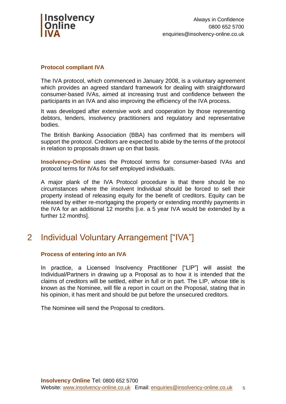

#### **Protocol compliant IVA**

The IVA protocol, which commenced in January 2008, is a voluntary agreement which provides an agreed standard framework for dealing with straightforward consumer-based IVAs, aimed at increasing trust and confidence between the participants in an IVA and also improving the efficiency of the IVA process.

It was developed after extensive work and cooperation by those representing debtors, lenders, insolvency practitioners and regulatory and representative bodies.

The British Banking Association (BBA) has confirmed that its members will support the protocol. Creditors are expected to abide by the terms of the protocol in relation to proposals drawn up on that basis.

**Insolvency-Online** uses the Protocol terms for consumer-based IVAs and protocol terms for IVAs for self employed individuals.

A major plank of the IVA Protocol procedure is that there should be no circumstances where the insolvent Individual should be forced to sell their property instead of releasing equity for the benefit of creditors. Equity can be released by either re-mortgaging the property or extending monthly payments in the IVA for an additional 12 months [i.e. a 5 year IVA would be extended by a further 12 months].

### 2 Individual Voluntary Arrangement ["IVA"]

#### **Process of entering into an IVA**

In practice, a Licensed Insolvency Practitioner ["LIP"] will assist the Individual/Partners in drawing up a Proposal as to how it is intended that the claims of creditors will be settled, either in full or in part. The LIP, whose title is known as the Nominee, will file a report in court on the Proposal, stating that in his opinion, it has merit and should be put before the unsecured creditors.

The Nominee will send the Proposal to creditors.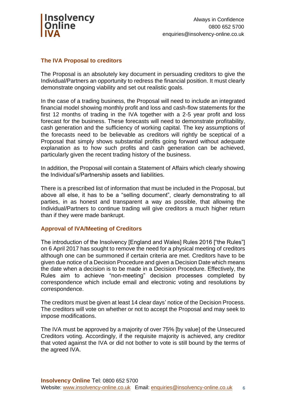

#### **The IVA Proposal to creditors**

The Proposal is an absolutely key document in persuading creditors to give the Individual/Partners an opportunity to redress the financial position. It must clearly demonstrate ongoing viability and set out realistic goals.

In the case of a trading business, the Proposal will need to include an integrated financial model showing monthly profit and loss and cash-flow statements for the first 12 months of trading in the IVA together with a 2-5 year profit and loss forecast for the business. These forecasts will need to demonstrate profitability, cash generation and the sufficiency of working capital. The key assumptions of the forecasts need to be believable as creditors will rightly be sceptical of a Proposal that simply shows substantial profits going forward without adequate explanation as to how such profits and cash generation can be achieved, particularly given the recent trading history of the business.

In addition, the Proposal will contain a Statement of Affairs which clearly showing the Individual's/Partnership assets and liabilities.

There is a prescribed list of information that must be included in the Proposal, but above all else, it has to be a "selling document", clearly demonstrating to all parties, in as honest and transparent a way as possible, that allowing the Individual/Partners to continue trading will give creditors a much higher return than if they were made bankrupt.

#### **Approval of IVA/Meeting of Creditors**

The introduction of the Insolvency [England and Wales] Rules 2016 ["the Rules"] on 6 April 2017 has sought to remove the need for a physical meeting of creditors although one can be summoned if certain criteria are met. Creditors have to be given due notice of a Decision Procedure and given a Decision Date which means the date when a decision is to be made in a Decision Procedure. Effectively, the Rules aim to achieve "non-meeting" decision processes completed by correspondence which include email and electronic voting and resolutions by correspondence.

The creditors must be given at least 14 clear days' notice of the Decision Process. The creditors will vote on whether or not to accept the Proposal and may seek to impose modifications.

The IVA must be approved by a majority of over 75% [by value] of the Unsecured Creditors voting. Accordingly, if the requisite majority is achieved, any creditor that voted against the IVA or did not bother to vote is still bound by the terms of the agreed IVA.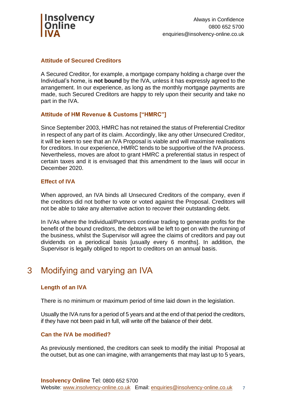

#### **Attitude of Secured Creditors**

A Secured Creditor, for example, a mortgage company holding a charge over the Individual's home, is **not bound** by the IVA, unless it has expressly agreed to the arrangement. In our experience, as long as the monthly mortgage payments are made, such Secured Creditors are happy to rely upon their security and take no part in the IVA.

#### **Attitude of HM Revenue & Customs ["HMRC"]**

Since September 2003, HMRC has not retained the status of Preferential Creditor in respect of any part of its claim. Accordingly, like any other Unsecured Creditor, it will be keen to see that an IVA Proposal is viable and will maximise realisations for creditors. In our experience, HMRC tends to be supportive of the IVA process. Nevertheless, moves are afoot to grant HMRC a preferential status in respect of certain taxes and it is envisaged that this amendment to the laws will occur in December 2020.

#### **Effect of IVA**

When approved, an IVA binds all Unsecured Creditors of the company, even if the creditors did not bother to vote or voted against the Proposal. Creditors will not be able to take any alternative action to recover their outstanding debt.

In IVAs where the Individual/Partners continue trading to generate profits for the benefit of the bound creditors, the debtors will be left to get on with the running of the business, whilst the Supervisor will agree the claims of creditors and pay out dividends on a periodical basis [usually every 6 months]. In addition, the Supervisor is legally obliged to report to creditors on an annual basis.

### 3 Modifying and varying an IVA

#### **Length of an IVA**

There is no minimum or maximum period of time laid down in the legislation.

Usually the IVA runs for a period of 5 years and at the end of that period the creditors, if they have not been paid in full, will write off the balance of their debt.

#### **Can the IVA be modified?**

As previously mentioned, the creditors can seek to modify the initial Proposal at the outset, but as one can imagine, with arrangements that may last up to 5 years,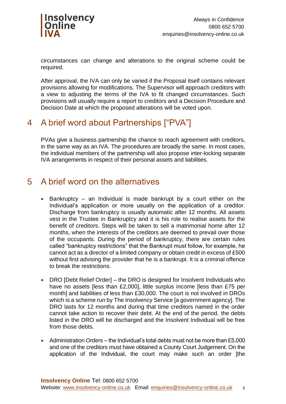

circumstances can change and alterations to the original scheme could be required.

After approval, the IVA can only be varied if the Proposal itself contains relevant provisions allowing for modifications. The Supervisor will approach creditors with a view to adjusting the terms of the IVA to fit changed circumstances. Such provisions will usually require a report to creditors and a Decision Procedure and Decision Date at which the proposed alterations will be voted upon.

## 4 A brief word about Partnerships ["PVA"]

PVAs give a business partnership the chance to reach agreement with creditors, in the same way as an IVA. The procedures are broadly the same. In most cases, the individual members of the partnership will also propose inter-locking separate IVA arrangements in respect of their personal assets and liabilities.

### 5 A brief word on the alternatives

- Bankruptcy an Individual is made bankrupt by a court either on the Individual's application or more usually on the application of a creditor. Discharge from bankruptcy is usually automatic after 12 months. All assets vest in the Trustee in Bankruptcy and it is his role to realise assets for the benefit of creditors. Steps will be taken to sell a matrimonial home after 12 months, when the interests of the creditors are deemed to prevail over those of the occupants. During the period of bankruptcy, there are certain rules called "bankruptcy restrictions" that the Bankrupt must follow, for example, he cannot act as a director of a limited company or obtain credit in excess of £500 without first advising the provider that he is a bankrupt. It is a criminal offence to break the restrictions.
- DRO [Debt Relief Order] the DRO is designed for Insolvent Individuals who have no assets [less than £2,000], little surplus income [less than £75 per month] and liabilities of less than £30,000. The court is not involved in DROs which is a scheme run by The Insolvency Service [a government agency]. The DRO lasts for 12 months and during that time creditors named in the order cannot take action to recover their debt. At the end of the period, the debts listed in the DRO will be discharged and the Insolvent Individual will be free from those debts.
- Administration Orders the Individual's total debts must not be more than £5,000 and one of the creditors must have obtained a County Court Judgement. On the application of the Individual, the court may make such an order [the